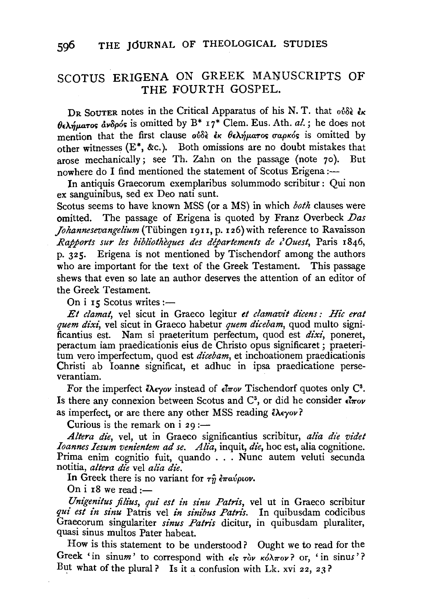## SCOTUS ERIGENA ON GREEK MANUSCRIPTS OF THE FOURTH GOSPEL.

DR SOUTER notes in the Critical Apparatus of his N. T. that  $\delta \delta \delta \epsilon$   $\epsilon \kappa$  $\theta \epsilon \lambda \hat{\eta} \mu a \tau$ os d $\nu \delta \rho$ ós is omitted by B<sup>\*</sup> 17<sup>\*</sup> Clem. Eus. Ath. *al.* ; he does not mention that the first clause  $o^{i\delta}$  is  $\theta \epsilon \lambda \hat{\eta} \mu$ aros  $\sigma a \rho \kappa \hat{\sigma} s$  is omitted by other witnesses  $(E^*, \&c.)$ . Both omissions are no doubt mistakes that arose mechanically; see Th. Zahn on the passage (note 7o). But nowhere do I find mentioned the statement of Scotus Erigena :-

In antiquis Graecorum exemplaribus solummodo scribitur : Qui non ex sanguinibus, sed ex Deo nati sunt.

Scotus seems to have known MSS (or a MS) in which *both* clauses were omitted. The passage of Erigena is quoted by Franz Overbeck *Das Johannesevangelium* (Tübingen 1911, p. 126) with reference to Ravaisson *Rapports sur les bibliothèques des départements de l'Ouest*, Paris 1846, p. 325. Erigena is not mentioned by Tischendorf among the authors who are important for the text of the Greek Testament. This passage shews that even so late an author deserves the attention of an editor of the Greek Testament.

On  $i$  rs Scotus writes:-

*Et clamat,* vel sicut in Graeco legitur *et clamavit dicens : Hie erat quem dixi,* vel sicut in Graeco habetur *quem dicebam,* quod multo significantius est. Nam si praeteritum perfectum, quod est *dixi,* poneret, peractum iam praedicationis eius de Christo opus significaret ; praeteritum vero imperfectum, quod est *dicebam,* et inchoationem praedicationis Christi ab Ioanne significat, et adhuc in ipsa praedicatione perseverantiam.

For the imperfect  $\epsilon \lambda \epsilon \gamma o \nu$  instead of  $\epsilon \bar{l} \pi o \nu$  Tischendorf quotes only C<sup>3</sup>. Is there any connexion between Scotus and  $\mathbb{C}^3$ , or did he consider  $\epsilon \overline{\iota \pi}$ ov as imperfect, or are there any other MSS reading  $\ell \lambda \epsilon \gamma o \nu$ ?

Curious is the remark on  $i$  29 :-

Altera die, vel, ut in Graeco significantius scribitur, alia die videt *Ioannes Iesum venientem ad se. Alia,* inquit, *die,* hoc est, alia cognitione. Prima enim cognitio fuit, quando ... Nunc autem veluti secunda notitia, *altera die* vel *alia die.* 

In Greek there is no variant for  $\tau_{\hat{U}}$  *eravplov*.

On  $i$  r<sub>8</sub> we read:-

*Unigenitus filius, qui est in sinu Patris,* vel ut in Graeco scribitur *qui est in sinu* Patris vel *in sinibus Patris.* In quibusdam codicibus Graecorum singulariter *sinus Patris* dicitur, in quibusdam pluraliter, quasi sinus multos Pater habeat.

How is this statement to be understood? Ought we to read for the Greek 'in sinum' to correspond with  $\epsilon$ is  $\tau \delta v$   $\kappa \delta \lambda \pi \partial v$ ? or, 'in sinus'? But what of the plural? Is it a confusion with Lk. xvi 22, 23?